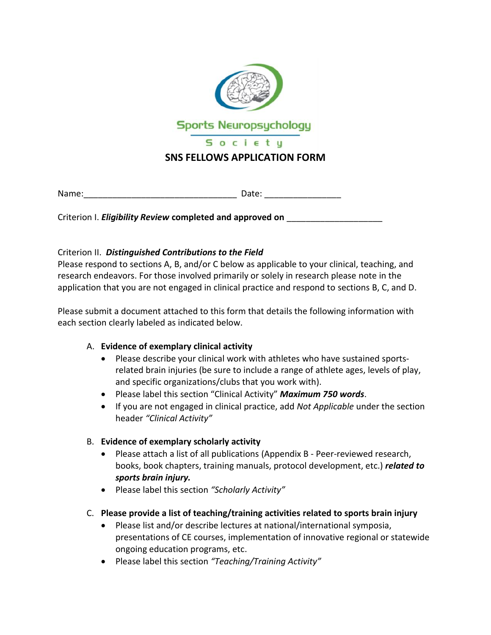

Name: The contract of the contract of the Date:  $\Box$  Date:  $\Box$ 

Criterion I. *Eligibility Review* **completed and approved on** \_\_\_\_\_\_\_\_\_\_\_\_\_\_\_\_\_\_\_\_

## Criterion II. *Distinguished Contributions to the Field*

Please respond to sections A, B, and/or C below as applicable to your clinical, teaching, and research endeavors. For those involved primarily or solely in research please note in the application that you are not engaged in clinical practice and respond to sections B, C, and D.

Please submit a document attached to this form that details the following information with each section clearly labeled as indicated below.

### A. **Evidence of exemplary clinical activity**

- Please describe your clinical work with athletes who have sustained sportsrelated brain injuries (be sure to include a range of athlete ages, levels of play, and specific organizations/clubs that you work with).
- Please label this section "Clinical Activity" *Maximum 750 words*.
- If you are not engaged in clinical practice, add *Not Applicable* under the section header *"Clinical Activity"*

# B. **Evidence of exemplary scholarly activity**

- Please attach a list of all publications (Appendix B Peer-reviewed research, books, book chapters, training manuals, protocol development, etc.) *related to sports brain injury.*
- Please label this section *"Scholarly Activity"*
- C. **Please provide a list of teaching/training activities related to sports brain injury**
	- Please list and/or describe lectures at national/international symposia, presentations of CE courses, implementation of innovative regional or statewide ongoing education programs, etc.
	- Please label this section *"Teaching/Training Activity"*